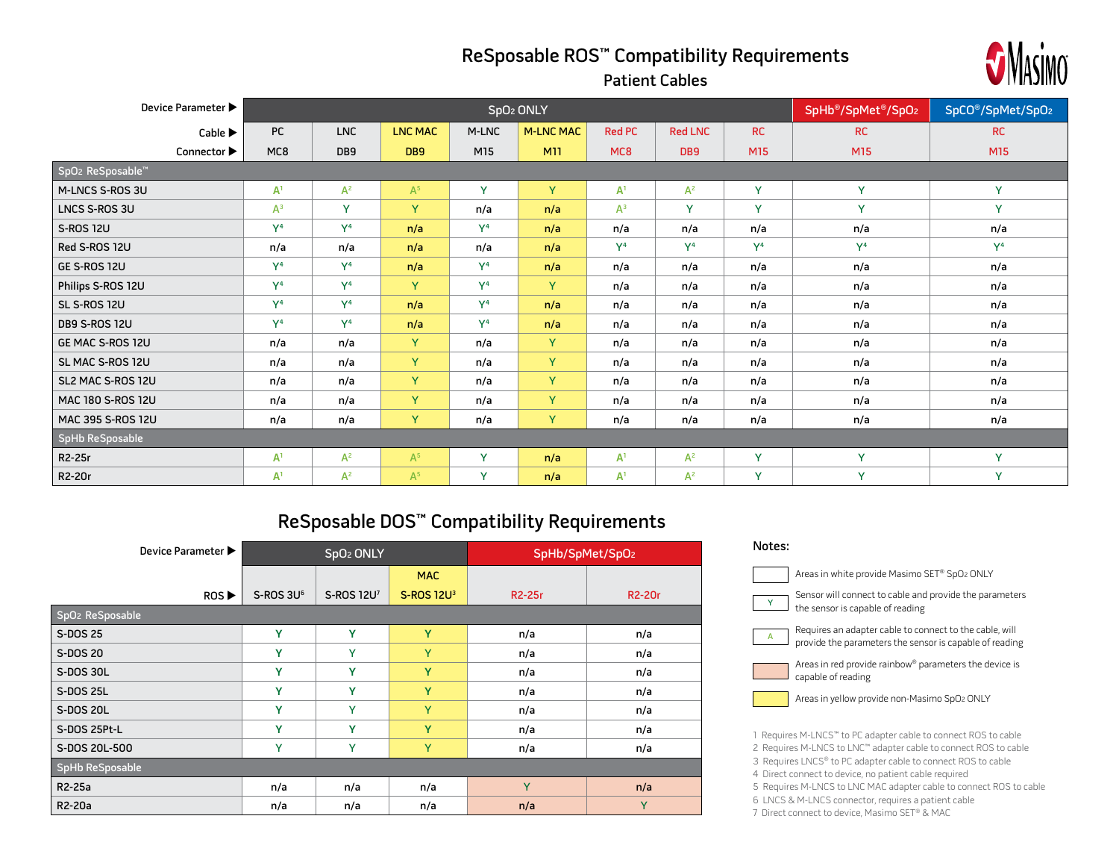## ReSposable ROS™ Compatibility Requirements



| Device Parameter ▶          |                |                |         |                |                  | SpO <sub>2</sub> ONLY |                |                |                |                |  |
|-----------------------------|----------------|----------------|---------|----------------|------------------|-----------------------|----------------|----------------|----------------|----------------|--|
| Cable $\blacktriangleright$ | PC             | <b>LNC</b>     | LNC MAC | M-LNC          | <b>M-LNC MAC</b> | <b>Red PC</b>         | <b>Red LNC</b> | <b>RC</b>      | <b>RC</b>      | <b>RC</b>      |  |
| Connector ▶                 | MC8            | DB9            | DB9     | M15            | <b>M11</b>       | MC8                   | DB9            | M15            | M15            | M15            |  |
| SpO2 ReSposable™            |                |                |         |                |                  |                       |                |                |                |                |  |
| M-LNCS S-ROS 3U             | A <sup>1</sup> | $A^2$          | $A^5$   | Y              | Y                | A <sup>1</sup>        | $A^2$          | Y              | Y              | Y              |  |
| LNCS S-ROS 3U               | $A^3$          | $\mathbf{Y}$   | Y.      | n/a            | n/a              | $A^3$                 | Y              | Y              | Y              | Y              |  |
| <b>S-ROS 12U</b>            | Y <sup>4</sup> | Y <sup>4</sup> | n/a     | Y <sup>4</sup> | n/a              | n/a                   | n/a            | n/a            | n/a            | n/a            |  |
| Red S-ROS 12U               | n/a            | n/a            | n/a     | n/a            | n/a              | Y <sup>4</sup>        | V <sup>4</sup> | Y <sup>4</sup> | Y <sup>4</sup> | Y <sup>4</sup> |  |
| GE S-ROS 12U                | Y <sup>4</sup> | Y <sup>4</sup> | n/a     | Y <sup>4</sup> | n/a              | n/a                   | n/a            | n/a            | n/a            | n/a            |  |
| Philips S-ROS 12U           | Y <sup>4</sup> | Y <sup>4</sup> | Y.      | Y <sup>4</sup> | Y.               | n/a                   | n/a            | n/a            | n/a            | n/a            |  |
| SL S-ROS 12U                | Y <sup>4</sup> | Y <sup>4</sup> | n/a     | Y <sup>4</sup> | n/a              | n/a                   | n/a            | n/a            | n/a            | n/a            |  |
| <b>DB9 S-ROS 12U</b>        | Y <sup>4</sup> | Y <sup>4</sup> | n/a     | Y <sup>4</sup> | n/a              | n/a                   | n/a            | n/a            | n/a            | n/a            |  |
| GE MAC S-ROS 12U            | n/a            | n/a            | Y.      | n/a            | Y                | n/a                   | n/a            | n/a            | n/a            | n/a            |  |
| SL MAC S-ROS 12U            | n/a            | n/a            | Y.      | n/a            | Y                | n/a                   | n/a            | n/a            | n/a            | n/a            |  |
| SL2 MAC S-ROS 12U           | n/a            | n/a            | Y.      | n/a            | Y.               | n/a                   | n/a<br>n/a     |                | n/a            | n/a            |  |
| MAC 180 S-ROS 12U           | n/a            | n/a            | Y.      | n/a            | Y                | n/a                   | n/a<br>n/a     |                | n/a            | n/a            |  |
| MAC 395 S-ROS 12U           | n/a            | n/a            | Y.      | n/a            | Y                | n/a                   | n/a            | n/a            | n/a            | n/a            |  |
| SpHb ReSposable             |                |                |         |                |                  |                       |                |                |                |                |  |
| R2-25r                      | A <sup>1</sup> | $A^2$          | $A^5$   | Y              | n/a              | A <sup>1</sup>        | $A^2$          | Y              | Y              | Y              |  |
| R2-20r                      | A <sup>1</sup> | $A^2$          | $A^5$   | <b>V</b>       | n/a              | A <sup>1</sup>        | $A^2$          | Y              | Y              | Y              |  |

## ReSposable DOS™ Compatibility Requirements

| Device Parameter ▶          |                       | SpO <sub>2</sub> ONLY |                        | SpHb/SpMet/SpO2     |                     |  |  |  |  |
|-----------------------------|-----------------------|-----------------------|------------------------|---------------------|---------------------|--|--|--|--|
|                             |                       |                       | <b>MAC</b>             |                     |                     |  |  |  |  |
| ROS                         | S-ROS 3U <sup>6</sup> | S-ROS 12U7            | S-ROS 12U <sup>3</sup> | R <sub>2</sub> -25r | R <sub>2</sub> -20r |  |  |  |  |
| SpO <sub>2</sub> ReSposable |                       |                       |                        |                     |                     |  |  |  |  |
| S-DOS 25                    | Y                     | Y                     | Y                      | n/a                 | n/a                 |  |  |  |  |
| S-DOS 20                    | Y                     | Y                     | Y                      | n/a                 | n/a                 |  |  |  |  |
| S-DOS 30L                   | Y                     | Y                     | Y                      | n/a                 | n/a                 |  |  |  |  |
| S-DOS 25L                   | Y                     | Y                     | Y                      | n/a                 | n/a                 |  |  |  |  |
| S-DOS 20L                   | Y                     | Y                     | Y                      | n/a                 | n/a                 |  |  |  |  |
| S-DOS 25Pt-L                | Y                     | Y                     | Y                      | n/a                 | n/a                 |  |  |  |  |
| S-DOS 20L-500               | Y                     | Y                     | Y                      | n/a                 | n/a                 |  |  |  |  |
| SpHb ReSposable             |                       |                       |                        |                     |                     |  |  |  |  |
| R2-25a                      | n/a                   | n/a                   | n/a                    | Y                   | n/a                 |  |  |  |  |
| R <sub>2</sub> -20a         | n/a                   | n/a                   | n/a                    | n/a                 | Y                   |  |  |  |  |

| Notes: |                                                                                                                                                                                                                                                                                                                                                                                         |
|--------|-----------------------------------------------------------------------------------------------------------------------------------------------------------------------------------------------------------------------------------------------------------------------------------------------------------------------------------------------------------------------------------------|
|        | Areas in white provide Masimo SET® SpO2 ONLY                                                                                                                                                                                                                                                                                                                                            |
| Ÿ      | Sensor will connect to cable and provide the parameters<br>the sensor is capable of reading                                                                                                                                                                                                                                                                                             |
| A      | Requires an adapter cable to connect to the cable, will<br>provide the parameters the sensor is capable of reading                                                                                                                                                                                                                                                                      |
|        | Areas in red provide rainbow® parameters the device is<br>capable of reading                                                                                                                                                                                                                                                                                                            |
|        | Areas in yellow provide non-Masimo SpO2 ONLY                                                                                                                                                                                                                                                                                                                                            |
|        | 1 Requires M-LNCS" to PC adapter cable to connect ROS to cable<br>2 Requires M-LNCS to LNC" adapter cable to connect ROS to cable<br>3 Requires LNCS® to PC adapter cable to connect ROS to cable<br>4 Direct connect to device, no patient cable required<br>5 Requires M-LNCS to LNC MAC adapter cable to connect ROS to cable<br>6 LNCS & M-LNCS connector, requires a patient cable |

7 Direct connect to device, Masimo SET® & MAC